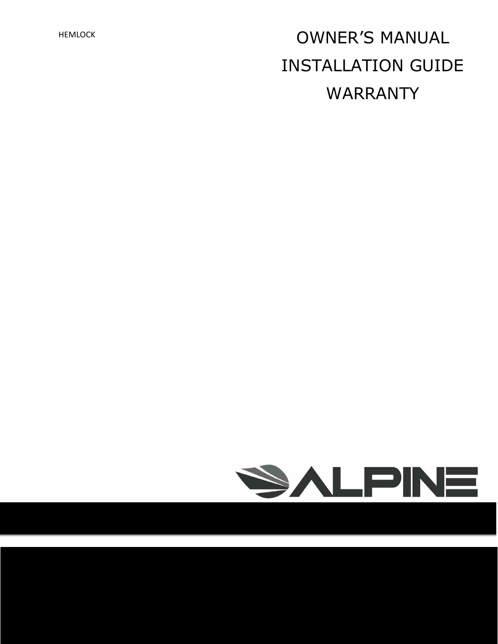# HEMLOCK **OWNER'S MANUAL** INSTALLATION GUIDE WARRANTY

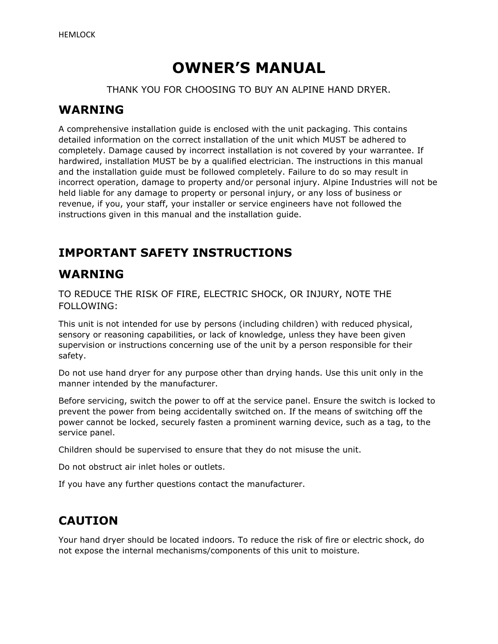## **OWNER'S MANUAL**

THANK YOU FOR CHOOSING TO BUY AN ALPINE HAND DRYER.

#### **WARNING**

A comprehensive installation guide is enclosed with the unit packaging. This contains detailed information on the correct installation of the unit which MUST be adhered to completely. Damage caused by incorrect installation is not covered by your warrantee. If hardwired, installation MUST be by a qualified electrician. The instructions in this manual and the installation guide must be followed completely. Failure to do so may result in incorrect operation, damage to property and/or personal injury. Alpine Industries will not be held liable for any damage to property or personal injury, or any loss of business or revenue, if you, your staff, your installer or service engineers have not followed the instructions given in this manual and the installation guide.

## **IMPORTANT SAFETY INSTRUCTIONS**

### **WARNING**

TO REDUCE THE RISK OF FIRE, ELECTRIC SHOCK, OR INJURY, NOTE THE FOLLOWING:

This unit is not intended for use by persons (including children) with reduced physical, sensory or reasoning capabilities, or lack of knowledge, unless they have been given supervision or instructions concerning use of the unit by a person responsible for their safety.

Do not use hand dryer for any purpose other than drying hands. Use this unit only in the manner intended by the manufacturer.

Before servicing, switch the power to off at the service panel. Ensure the switch is locked to prevent the power from being accidentally switched on. If the means of switching off the power cannot be locked, securely fasten a prominent warning device, such as a tag, to the service panel.

Children should be supervised to ensure that they do not misuse the unit.

Do not obstruct air inlet holes or outlets.

If you have any further questions contact the manufacturer.

## **CAUTION**

Your hand dryer should be located indoors. To reduce the risk of fire or electric shock, do not expose the internal mechanisms/components of this unit to moisture.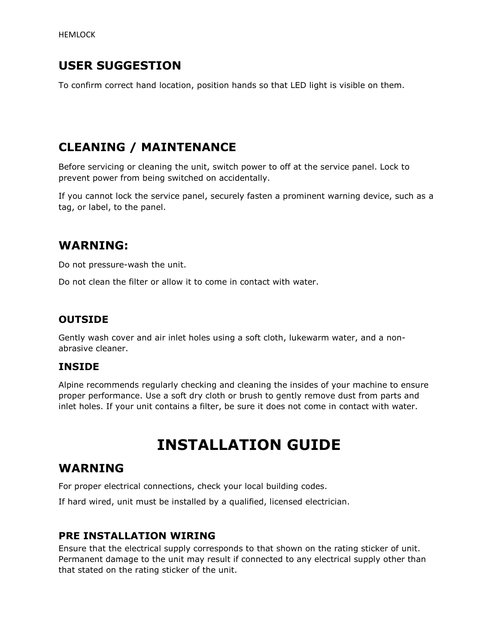## **USER SUGGESTION**

To confirm correct hand location, position hands so that LED light is visible on them.

## **CLEANING / MAINTENANCE**

Before servicing or cleaning the unit, switch power to off at the service panel. Lock to prevent power from being switched on accidentally.

If you cannot lock the service panel, securely fasten a prominent warning device, such as a tag, or label, to the panel.

### **WARNING:**

Do not pressure-wash the unit.

Do not clean the filter or allow it to come in contact with water.

#### **OUTSIDE**

Gently wash cover and air inlet holes using a soft cloth, lukewarm water, and a nonabrasive cleaner.

#### **INSIDE**

Alpine recommends regularly checking and cleaning the insides of your machine to ensure proper performance. Use a soft dry cloth or brush to gently remove dust from parts and inlet holes. If your unit contains a filter, be sure it does not come in contact with water.

## **INSTALLATION GUIDE**

### **WARNING**

For proper electrical connections, check your local building codes.

If hard wired, unit must be installed by a qualified, licensed electrician.

#### **PRE INSTALLATION WIRING**

Ensure that the electrical supply corresponds to that shown on the rating sticker of unit. Permanent damage to the unit may result if connected to any electrical supply other than that stated on the rating sticker of the unit.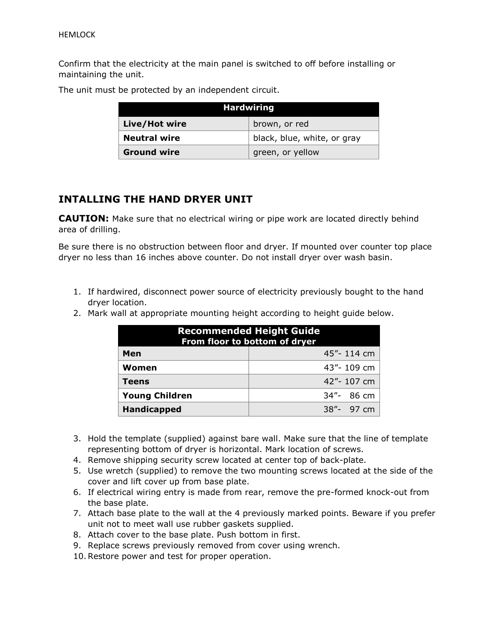Confirm that the electricity at the main panel is switched to off before installing or maintaining the unit.

| <b>Hardwiring</b>   |                             |
|---------------------|-----------------------------|
| Live/Hot wire       | brown, or red               |
| <b>Neutral wire</b> | black, blue, white, or gray |
| <b>Ground wire</b>  | green, or yellow            |

The unit must be protected by an independent circuit.

#### **INTALLING THE HAND DRYER UNIT**

**CAUTION:** Make sure that no electrical wiring or pipe work are located directly behind area of drilling.

Be sure there is no obstruction between floor and dryer. If mounted over counter top place dryer no less than 16 inches above counter. Do not install dryer over wash basin.

- 1. If hardwired, disconnect power source of electricity previously bought to the hand dryer location.
- 2. Mark wall at appropriate mounting height according to height guide below.

| <b>Recommended Height Guide</b><br>From floor to bottom of dryer |            |  |
|------------------------------------------------------------------|------------|--|
| Men                                                              | 45"-114 cm |  |
| Women                                                            | 43"-109 cm |  |
| <b>Teens</b>                                                     | 42"-107 cm |  |
| <b>Young Children</b>                                            | 34"- 86 cm |  |
| <b>Handicapped</b>                                               | 38"- 97 cm |  |

- 3. Hold the template (supplied) against bare wall. Make sure that the line of template representing bottom of dryer is horizontal. Mark location of screws.
- 4. Remove shipping security screw located at center top of back-plate.
- 5. Use wretch (supplied) to remove the two mounting screws located at the side of the cover and lift cover up from base plate.
- 6. If electrical wiring entry is made from rear, remove the pre-formed knock-out from the base plate.
- 7. Attach base plate to the wall at the 4 previously marked points. Beware if you prefer unit not to meet wall use rubber gaskets supplied.
- 8. Attach cover to the base plate. Push bottom in first.
- 9. Replace screws previously removed from cover using wrench.
- 10.Restore power and test for proper operation.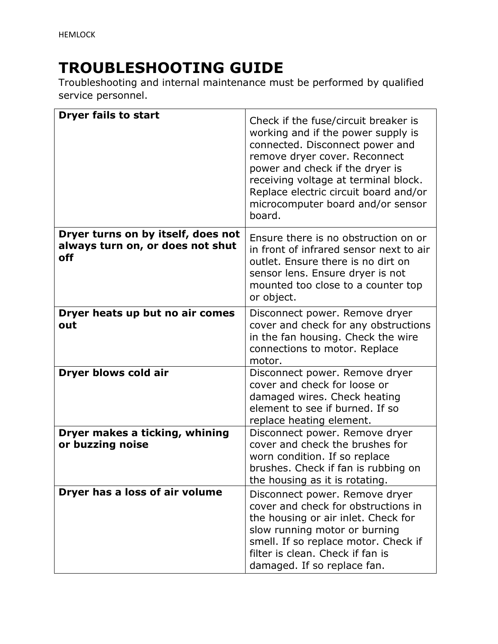## **TROUBLESHOOTING GUIDE**

Troubleshooting and internal maintenance must be performed by qualified service personnel.

| <b>Dryer fails to start</b>                                                   | Check if the fuse/circuit breaker is<br>working and if the power supply is<br>connected. Disconnect power and<br>remove dryer cover. Reconnect<br>power and check if the dryer is<br>receiving voltage at terminal block.<br>Replace electric circuit board and/or<br>microcomputer board and/or sensor<br>board. |
|-------------------------------------------------------------------------------|-------------------------------------------------------------------------------------------------------------------------------------------------------------------------------------------------------------------------------------------------------------------------------------------------------------------|
| Dryer turns on by itself, does not<br>always turn on, or does not shut<br>off | Ensure there is no obstruction on or<br>in front of infrared sensor next to air<br>outlet. Ensure there is no dirt on<br>sensor lens. Ensure dryer is not<br>mounted too close to a counter top<br>or object.                                                                                                     |
| Dryer heats up but no air comes<br>out                                        | Disconnect power. Remove dryer<br>cover and check for any obstructions<br>in the fan housing. Check the wire<br>connections to motor. Replace<br>motor.                                                                                                                                                           |
| Dryer blows cold air                                                          | Disconnect power. Remove dryer<br>cover and check for loose or<br>damaged wires. Check heating<br>element to see if burned. If so<br>replace heating element.                                                                                                                                                     |
| Dryer makes a ticking, whining<br>or buzzing noise                            | Disconnect power. Remove dryer<br>cover and check the brushes for<br>worn condition. If so replace<br>brushes. Check if fan is rubbing on<br>the housing as it is rotating.                                                                                                                                       |
| Dryer has a loss of air volume                                                | Disconnect power. Remove dryer<br>cover and check for obstructions in<br>the housing or air inlet. Check for<br>slow running motor or burning<br>smell. If so replace motor. Check if<br>filter is clean. Check if fan is<br>damaged. If so replace fan.                                                          |